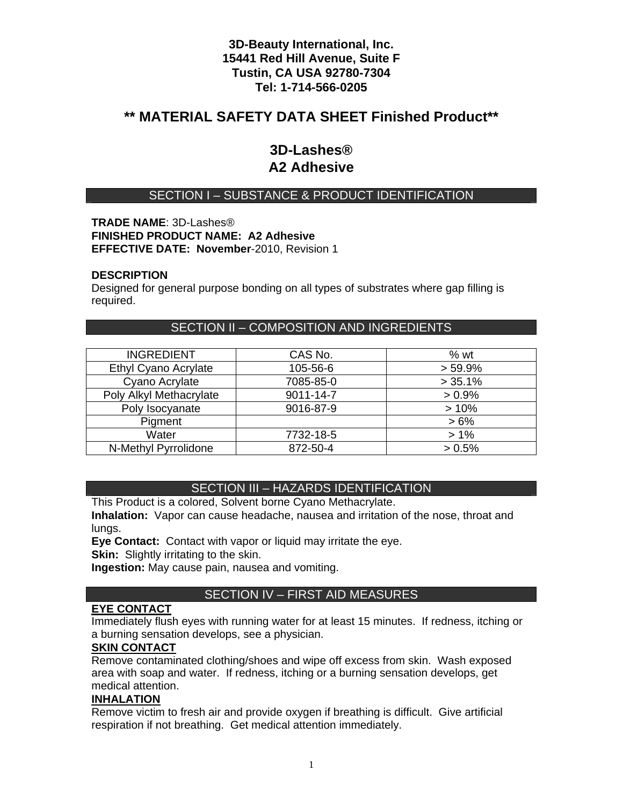# **\*\* MATERIAL SAFETY DATA SHEET Finished Product\*\***

# **3D-Lashes® A2 Adhesive**

# SECTION I – SUBSTANCE & PRODUCT IDENTIFICATION

#### **TRADE NAME**: 3D-Lashes® **FINISHED PRODUCT NAME: A2 Adhesive EFFECTIVE DATE: November**-2010, Revision 1

#### **DESCRIPTION**

Designed for general purpose bonding on all types of substrates where gap filling is required.

## SECTION II – COMPOSITION AND INGREDIENTS

| <b>INGREDIENT</b>       | CAS No.   | $%$ wt     |
|-------------------------|-----------|------------|
| Ethyl Cyano Acrylate    | 105-56-6  | $> 59.9\%$ |
| Cyano Acrylate          | 7085-85-0 | $> 35.1\%$ |
| Poly Alkyl Methacrylate | 9011-14-7 | $> 0.9\%$  |
| Poly Isocyanate         | 9016-87-9 | >10%       |
| Pigment                 |           | $>6\%$     |
| Water                   | 7732-18-5 | $>1\%$     |
| N-Methyl Pyrrolidone    | 872-50-4  | > 0.5%     |

## SECTION III – HAZARDS IDENTIFICATION

This Product is a colored, Solvent borne Cyano Methacrylate.

**Inhalation:** Vapor can cause headache, nausea and irritation of the nose, throat and lunas.

**Eye Contact:** Contact with vapor or liquid may irritate the eye.

**Skin:** Slightly irritating to the skin.

**Ingestion:** May cause pain, nausea and vomiting.

## SECTION IV – FIRST AID MEASURES

### **EYE CONTACT**

Immediately flush eyes with running water for at least 15 minutes. If redness, itching or a burning sensation develops, see a physician.

#### **SKIN CONTACT**

Remove contaminated clothing/shoes and wipe off excess from skin. Wash exposed area with soap and water. If redness, itching or a burning sensation develops, get medical attention.

#### **INHALATION**

Remove victim to fresh air and provide oxygen if breathing is difficult. Give artificial respiration if not breathing. Get medical attention immediately.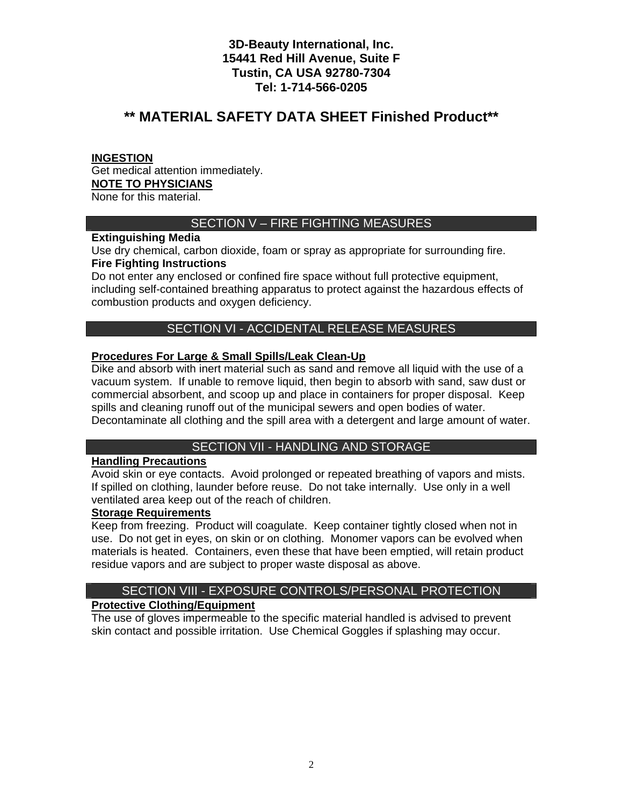# **\*\* MATERIAL SAFETY DATA SHEET Finished Product\*\***

### **INGESTION**

Get medical attention immediately. **NOTE TO PHYSICIANS** None for this material.

# SECTION V – FIRE FIGHTING MEASURES

## **Extinguishing Media**

Use dry chemical, carbon dioxide, foam or spray as appropriate for surrounding fire. **Fire Fighting Instructions** 

Do not enter any enclosed or confined fire space without full protective equipment, including self-contained breathing apparatus to protect against the hazardous effects of combustion products and oxygen deficiency.

# SECTION VI - ACCIDENTAL RELEASE MEASURES

## **Procedures For Large & Small Spills/Leak Clean-Up**

Dike and absorb with inert material such as sand and remove all liquid with the use of a vacuum system. If unable to remove liquid, then begin to absorb with sand, saw dust or commercial absorbent, and scoop up and place in containers for proper disposal. Keep spills and cleaning runoff out of the municipal sewers and open bodies of water. Decontaminate all clothing and the spill area with a detergent and large amount of water.

# SECTION VII - HANDLING AND STORAGE

### **Handling Precautions**

Avoid skin or eye contacts. Avoid prolonged or repeated breathing of vapors and mists. If spilled on clothing, launder before reuse. Do not take internally. Use only in a well ventilated area keep out of the reach of children.

#### **Storage Requirements**

Keep from freezing. Product will coagulate. Keep container tightly closed when not in use. Do not get in eyes, on skin or on clothing. Monomer vapors can be evolved when materials is heated. Containers, even these that have been emptied, will retain product residue vapors and are subject to proper waste disposal as above.

# SECTION VIII - EXPOSURE CONTROLS/PERSONAL PROTECTION

## **Protective Clothing/Equipment**

The use of gloves impermeable to the specific material handled is advised to prevent skin contact and possible irritation. Use Chemical Goggles if splashing may occur.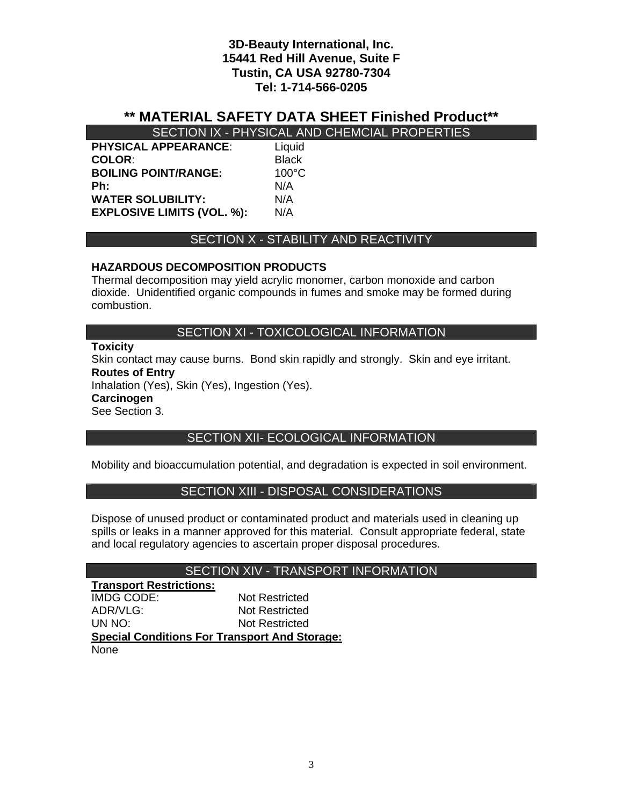# **\*\* MATERIAL SAFETY DATA SHEET Finished Product\*\***

SECTION IX - PHYSICAL AND CHEMCIAL PROPERTIES

| <b>PHYSICAL APPEARANCE:</b>       | Liquid          |
|-----------------------------------|-----------------|
| <b>COLOR:</b>                     | <b>Black</b>    |
| <b>BOILING POINT/RANGE:</b>       | $100^{\circ}$ C |
| Ph:                               | N/A             |
| <b>WATER SOLUBILITY:</b>          | N/A             |
| <b>EXPLOSIVE LIMITS (VOL. %):</b> | N/A             |

## SECTION X - STABILITY AND REACTIVITY

## **HAZARDOUS DECOMPOSITION PRODUCTS**

Thermal decomposition may yield acrylic monomer, carbon monoxide and carbon dioxide. Unidentified organic compounds in fumes and smoke may be formed during combustion.

### SECTION XI - TOXICOLOGICAL INFORMATION

### **Toxicity**

Skin contact may cause burns. Bond skin rapidly and strongly. Skin and eye irritant. **Routes of Entry** 

Inhalation (Yes), Skin (Yes), Ingestion (Yes).

#### **Carcinogen**

See Section 3.

## SECTION XII- ECOLOGICAL INFORMATION

Mobility and bioaccumulation potential, and degradation is expected in soil environment.

## SECTION XIII - DISPOSAL CONSIDERATIONS

Dispose of unused product or contaminated product and materials used in cleaning up spills or leaks in a manner approved for this material. Consult appropriate federal, state and local regulatory agencies to ascertain proper disposal procedures.

## SECTION XIV - TRANSPORT INFORMATION

**Transport Restrictions:** IMDG CODE: Not Restricted ADR/VLG: Not Restricted UN NO: Not Restricted **Special Conditions For Transport And Storage:** None